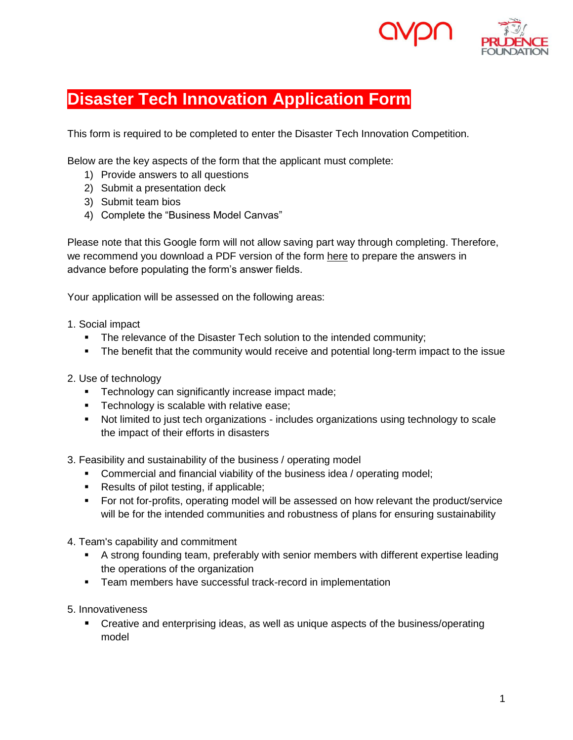

# **Disaster Tech Innovation Application Form**

This form is required to be completed to enter the Disaster Tech Innovation Competition.

Below are the key aspects of the form that the applicant must complete:

- 1) Provide answers to all questions
- 2) Submit a presentation deck
- 3) Submit team bios
- 4) Complete the "Business Model Canvas"

Please note that this Google form will not allow saving part way through completing. Therefore, we recommend you download a PDF version of the form here to prepare the answers in advance before populating the form's answer fields.

Your application will be assessed on the following areas:

- 1. Social impact
	- The relevance of the Disaster Tech solution to the intended community;
	- The benefit that the community would receive and potential long-term impact to the issue
- 2. Use of technology
	- **Technology can significantly increase impact made;**
	- **Technology is scalable with relative ease;**
	- Not limited to just tech organizations includes organizations using technology to scale the impact of their efforts in disasters

3. Feasibility and sustainability of the business / operating model

- **Commercial and financial viability of the business idea / operating model;**
- Results of pilot testing, if applicable;
- For not for-profits, operating model will be assessed on how relevant the product/service will be for the intended communities and robustness of plans for ensuring sustainability
- 4. Team's capability and commitment
	- A strong founding team, preferably with senior members with different expertise leading the operations of the organization
	- **Team members have successful track-record in implementation**
- 5. Innovativeness
	- Creative and enterprising ideas, as well as unique aspects of the business/operating model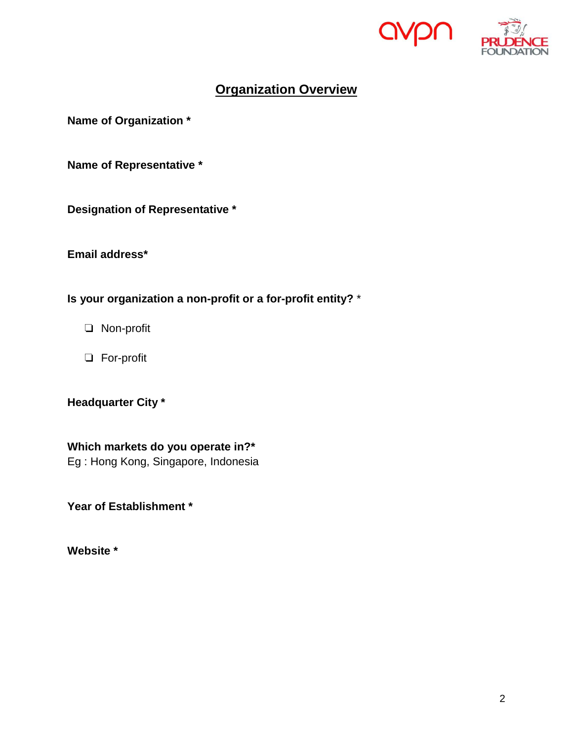



## **Organization Overview**

**Name of Organization \***

**Name of Representative \***

**Designation of Representative \***

**Email address\***

**Is your organization a non-profit or a for-profit entity?** \*

- ❏ Non-profit
- ❏ For-profit

### **Headquarter City \***

**Which markets do you operate in?\***

Eg : Hong Kong, Singapore, Indonesia

**Year of Establishment \***

**Website \***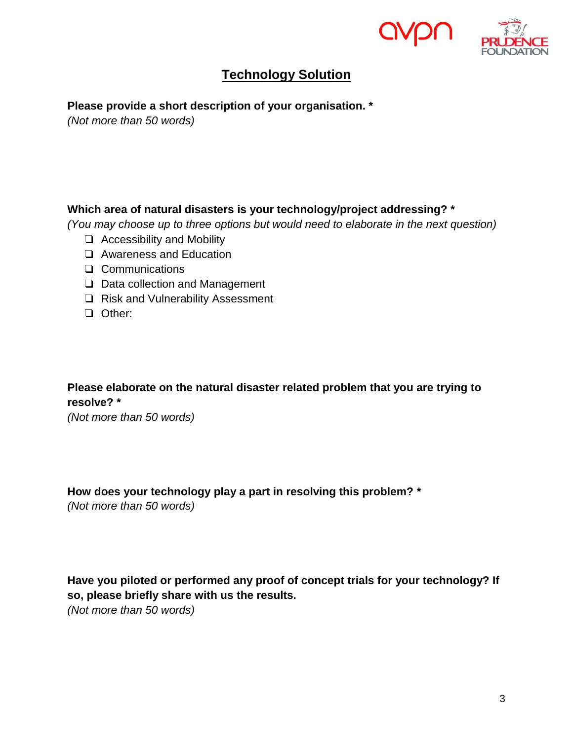



## **Technology Solution**

#### **Please provide a short description of your organisation. \***

*(Not more than 50 words)*

### **Which area of natural disasters is your technology/project addressing? \***

*(You may choose up to three options but would need to elaborate in the next question)*

- ❏ Accessibility and Mobility
- ❏ Awareness and Education
- ❏ Communications
- ❏ Data collection and Management
- ❏ Risk and Vulnerability Assessment
- ❏ Other:

### **Please elaborate on the natural disaster related problem that you are trying to resolve? \***

*(Not more than 50 words)*

#### **How does your technology play a part in resolving this problem? \***

*(Not more than 50 words)* 

### **Have you piloted or performed any proof of concept trials for your technology? If so, please briefly share with us the results.**

*(Not more than 50 words)*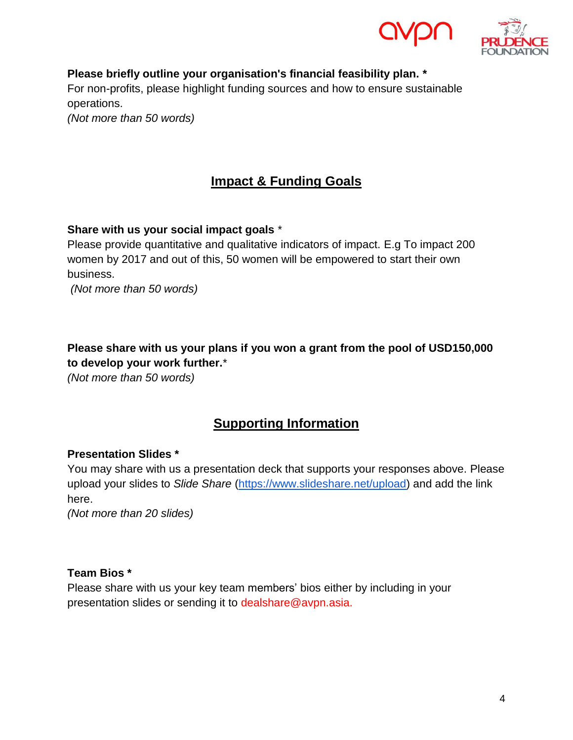



**Please briefly outline your organisation's financial feasibility plan. \*** For non-profits, please highlight funding sources and how to ensure sustainable operations. *(Not more than 50 words)*

**Impact & Funding Goals**

**Share with us your social impact goals** \*

Please provide quantitative and qualitative indicators of impact. E.g To impact 200 women by 2017 and out of this, 50 women will be empowered to start their own business.

*(Not more than 50 words)*

**Please share with us your plans if you won a grant from the pool of USD150,000 to develop your work further.**\*

*(Not more than 50 words)*

### **Supporting Information**

#### **Presentation Slides \***

You may share with us a presentation deck that supports your responses above. Please upload your slides to *Slide Share* [\(https://www.slideshare.net/upload\)](https://www.slideshare.net/upload) and add the link here.

*(Not more than 20 slides)*

#### **Team Bios \***

Please share with us your key team members' bios either by including in your presentation slides or sending it to dealshare@avpn.asia.